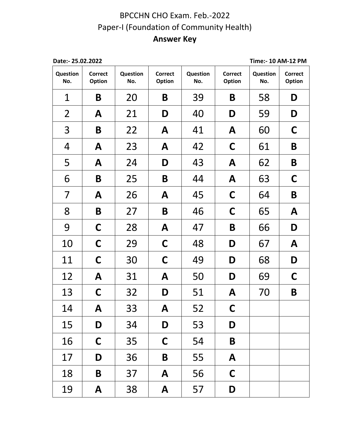## BPCCHN CHO Exam. Feb.-2022 Paper-I (Foundation of Community Health) **Answer Key**

| Date:- 25.02.2022 |                          |                 |                          |                 |                                 | Time:- 10 AM-12 PM |                                 |  |
|-------------------|--------------------------|-----------------|--------------------------|-----------------|---------------------------------|--------------------|---------------------------------|--|
| Question<br>No.   | <b>Correct</b><br>Option | Question<br>No. | <b>Correct</b><br>Option | Question<br>No. | <b>Correct</b><br><b>Option</b> | Question<br>No.    | <b>Correct</b><br><b>Option</b> |  |
| 1                 | B                        | 20              | B                        | 39              | B                               | 58                 | D                               |  |
| $\overline{2}$    | A                        | 21              | D                        | 40              | D                               | 59                 | D                               |  |
| 3                 | B                        | 22              | A                        | 41              | A                               | 60                 | $\mathsf C$                     |  |
| 4                 | A                        | 23              | A                        | 42              | $\mathsf C$                     | 61                 | B                               |  |
| 5                 | A                        | 24              | D                        | 43              | A                               | 62                 | B                               |  |
| 6                 | B                        | 25              | B                        | 44              | A                               | 63                 | $\mathsf C$                     |  |
| 7                 | A                        | 26              | A                        | 45              | $\mathsf C$                     | 64                 | B                               |  |
| 8                 | B                        | 27              | B                        | 46              | $\mathsf C$                     | 65                 | A                               |  |
| 9                 | $\mathsf C$              | 28              | A                        | 47              | B                               | 66                 | D                               |  |
| 10                | $\mathsf C$              | 29              | $\mathsf C$              | 48              | D                               | 67                 | A                               |  |
| 11                | C                        | 30              | C                        | 49              | D                               | 68                 | D                               |  |
| 12                | A                        | 31              | A                        | 50              | D                               | 69                 | $\mathsf C$                     |  |
| 13                | C                        | 32              | D                        | 51              | A                               | 70                 | B                               |  |
| 14                | A                        | 33              | A                        | 52              | C                               |                    |                                 |  |
| 15                | D                        | 34              | D                        | 53              | D                               |                    |                                 |  |
| 16                | $\mathsf{C}$             | 35              | $\mathsf C$              | 54              | B                               |                    |                                 |  |
| 17                | D                        | 36              | B                        | 55              | A                               |                    |                                 |  |
| 18                | B                        | 37              | A                        | 56              | $\mathsf C$                     |                    |                                 |  |
| 19                | A                        | 38              | A                        | 57              | D                               |                    |                                 |  |